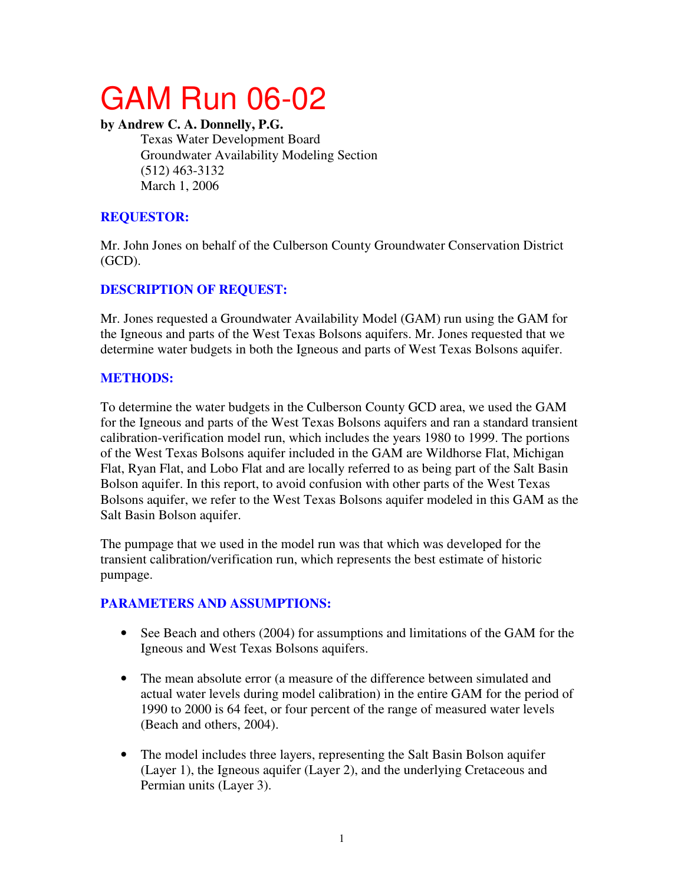# GAM Run 06-02

#### **by Andrew C. A. Donnelly, P.G.**

Texas Water Development Board Groundwater Availability Modeling Section (512) 463-3132 March 1, 2006

## **REQUESTOR:**

Mr. John Jones on behalf of the Culberson County Groundwater Conservation District (GCD).

# **DESCRIPTION OF REQUEST:**

Mr. Jones requested a Groundwater Availability Model (GAM) run using the GAM for the Igneous and parts of the West Texas Bolsons aquifers. Mr. Jones requested that we determine water budgets in both the Igneous and parts of West Texas Bolsons aquifer.

## **METHODS:**

To determine the water budgets in the Culberson County GCD area, we used the GAM for the Igneous and parts of the West Texas Bolsons aquifers and ran a standard transient calibration-verification model run, which includes the years 1980 to 1999. The portions of the West Texas Bolsons aquifer included in the GAM are Wildhorse Flat, Michigan Flat, Ryan Flat, and Lobo Flat and are locally referred to as being part of the Salt Basin Bolson aquifer. In this report, to avoid confusion with other parts of the West Texas Bolsons aquifer, we refer to the West Texas Bolsons aquifer modeled in this GAM as the Salt Basin Bolson aquifer.

The pumpage that we used in the model run was that which was developed for the transient calibration/verification run, which represents the best estimate of historic pumpage.

## **PARAMETERS AND ASSUMPTIONS:**

- See Beach and others (2004) for assumptions and limitations of the GAM for the Igneous and West Texas Bolsons aquifers.
- The mean absolute error (a measure of the difference between simulated and actual water levels during model calibration) in the entire GAM for the period of 1990 to 2000 is 64 feet, or four percent of the range of measured water levels (Beach and others, 2004).
- The model includes three layers, representing the Salt Basin Bolson aquifer (Layer 1), the Igneous aquifer (Layer 2), and the underlying Cretaceous and Permian units (Layer 3).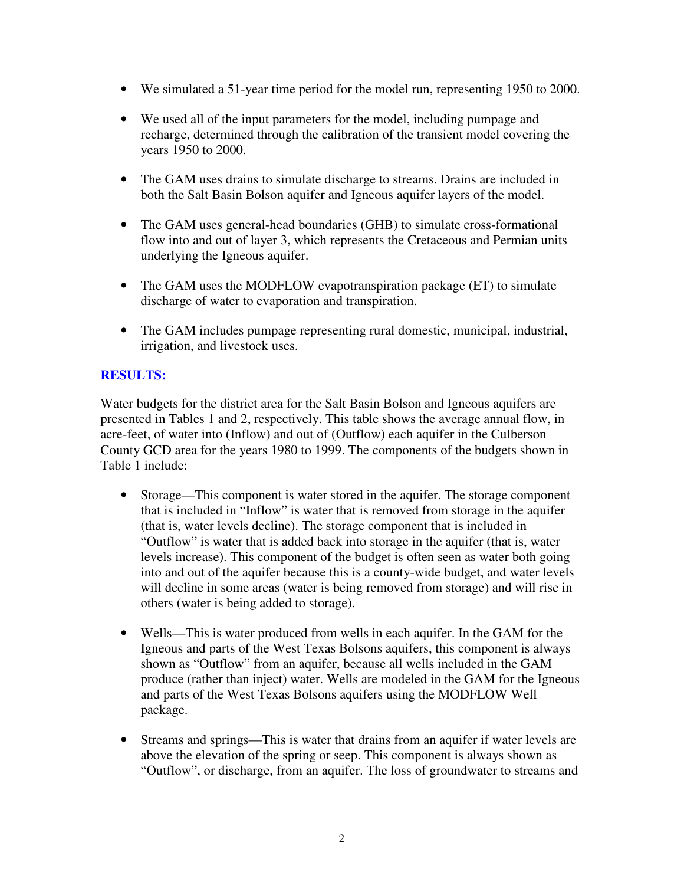- We simulated a 51-year time period for the model run, representing 1950 to 2000.
- We used all of the input parameters for the model, including pumpage and recharge, determined through the calibration of the transient model covering the years 1950 to 2000.
- The GAM uses drains to simulate discharge to streams. Drains are included in both the Salt Basin Bolson aquifer and Igneous aquifer layers of the model.
- The GAM uses general-head boundaries (GHB) to simulate cross-formational flow into and out of layer 3, which represents the Cretaceous and Permian units underlying the Igneous aquifer.
- The GAM uses the MODFLOW evapotranspiration package (ET) to simulate discharge of water to evaporation and transpiration.
- The GAM includes pumpage representing rural domestic, municipal, industrial, irrigation, and livestock uses.

#### **RESULTS:**

Water budgets for the district area for the Salt Basin Bolson and Igneous aquifers are presented in Tables 1 and 2, respectively. This table shows the average annual flow, in acre-feet, of water into (Inflow) and out of (Outflow) each aquifer in the Culberson County GCD area for the years 1980 to 1999. The components of the budgets shown in Table 1 include:

- Storage—This component is water stored in the aquifer. The storage component that is included in "Inflow" is water that is removed from storage in the aquifer (that is, water levels decline). The storage component that is included in "Outflow" is water that is added back into storage in the aquifer (that is, water levels increase). This component of the budget is often seen as water both going into and out of the aquifer because this is a county-wide budget, and water levels will decline in some areas (water is being removed from storage) and will rise in others (water is being added to storage).
- Wells—This is water produced from wells in each aquifer. In the GAM for the Igneous and parts of the West Texas Bolsons aquifers, this component is always shown as "Outflow" from an aquifer, because all wells included in the GAM produce (rather than inject) water. Wells are modeled in the GAM for the Igneous and parts of the West Texas Bolsons aquifers using the MODFLOW Well package.
- Streams and springs—This is water that drains from an aquifer if water levels are above the elevation of the spring or seep. This component is always shown as "Outflow", or discharge, from an aquifer. The loss of groundwater to streams and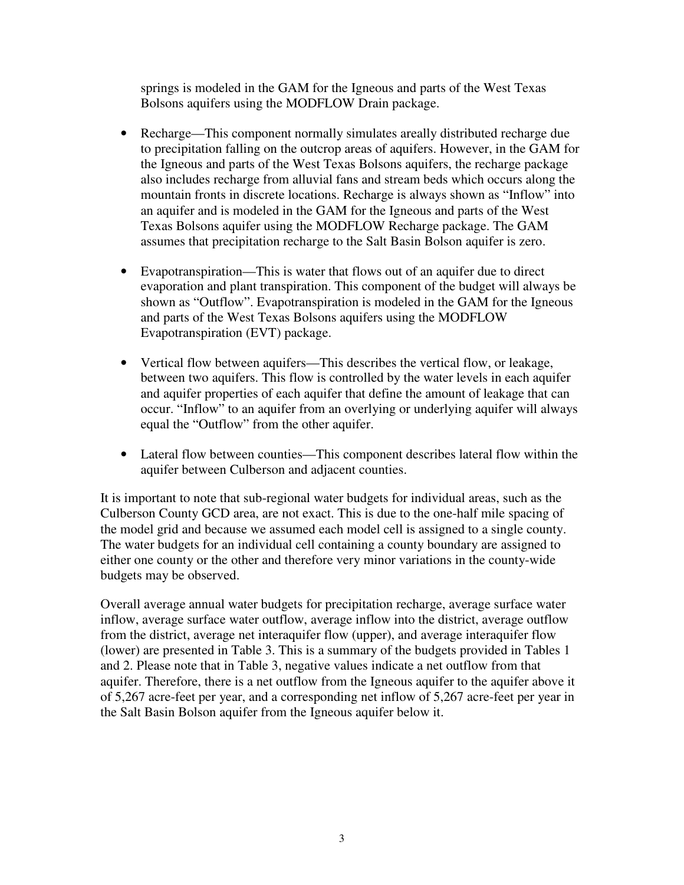springs is modeled in the GAM for the Igneous and parts of the West Texas Bolsons aquifers using the MODFLOW Drain package.

- Recharge—This component normally simulates areally distributed recharge due to precipitation falling on the outcrop areas of aquifers. However, in the GAM for the Igneous and parts of the West Texas Bolsons aquifers, the recharge package also includes recharge from alluvial fans and stream beds which occurs along the mountain fronts in discrete locations. Recharge is always shown as "Inflow" into an aquifer and is modeled in the GAM for the Igneous and parts of the West Texas Bolsons aquifer using the MODFLOW Recharge package. The GAM assumes that precipitation recharge to the Salt Basin Bolson aquifer is zero.
- Evapotranspiration—This is water that flows out of an aquifer due to direct evaporation and plant transpiration. This component of the budget will always be shown as "Outflow". Evapotranspiration is modeled in the GAM for the Igneous and parts of the West Texas Bolsons aquifers using the MODFLOW Evapotranspiration (EVT) package.
- Vertical flow between aquifers—This describes the vertical flow, or leakage, between two aquifers. This flow is controlled by the water levels in each aquifer and aquifer properties of each aquifer that define the amount of leakage that can occur. "Inflow" to an aquifer from an overlying or underlying aquifer will always equal the "Outflow" from the other aquifer.
- Lateral flow between counties—This component describes lateral flow within the aquifer between Culberson and adjacent counties.

It is important to note that sub-regional water budgets for individual areas, such as the Culberson County GCD area, are not exact. This is due to the one-half mile spacing of the model grid and because we assumed each model cell is assigned to a single county. The water budgets for an individual cell containing a county boundary are assigned to either one county or the other and therefore very minor variations in the county-wide budgets may be observed.

Overall average annual water budgets for precipitation recharge, average surface water inflow, average surface water outflow, average inflow into the district, average outflow from the district, average net interaquifer flow (upper), and average interaquifer flow (lower) are presented in Table 3. This is a summary of the budgets provided in Tables 1 and 2. Please note that in Table 3, negative values indicate a net outflow from that aquifer. Therefore, there is a net outflow from the Igneous aquifer to the aquifer above it of 5,267 acre-feet per year, and a corresponding net inflow of 5,267 acre-feet per year in the Salt Basin Bolson aquifer from the Igneous aquifer below it.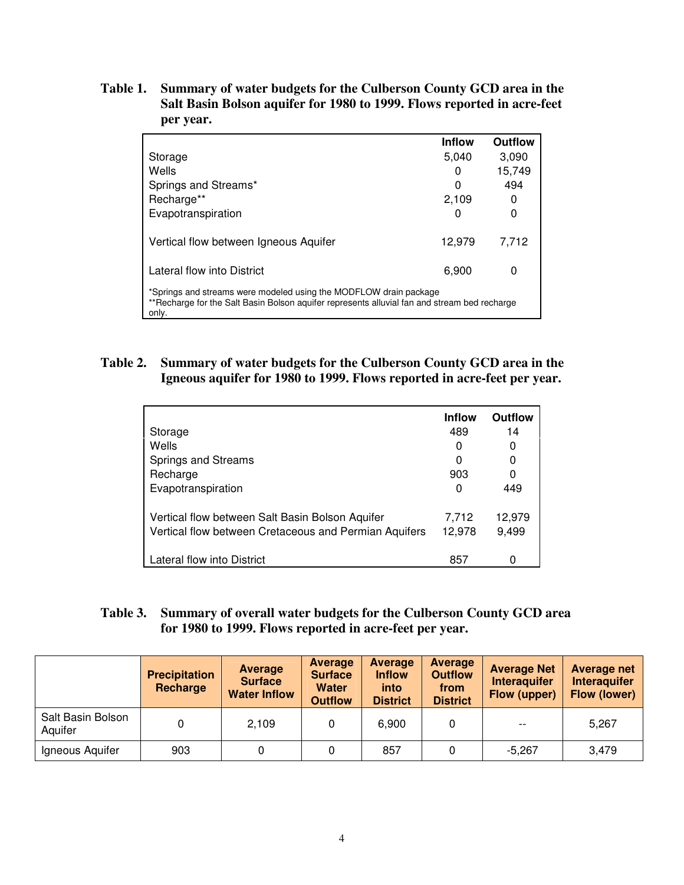**Table 1. Summary of water budgets for the Culberson County GCD area in the Salt Basin Bolson aquifer for 1980 to 1999. Flows reported in acre-feet per year.** 

|                                                                                                                                                                            | <b>Inflow</b> | Outflow |  |  |  |  |
|----------------------------------------------------------------------------------------------------------------------------------------------------------------------------|---------------|---------|--|--|--|--|
| Storage                                                                                                                                                                    | 5.040         | 3,090   |  |  |  |  |
| Wells                                                                                                                                                                      | 0             | 15.749  |  |  |  |  |
| Springs and Streams*                                                                                                                                                       | O             | 494     |  |  |  |  |
| Recharge**                                                                                                                                                                 | 2.109         | 0       |  |  |  |  |
| Evapotranspiration                                                                                                                                                         | 0             | 0       |  |  |  |  |
| Vertical flow between Igneous Aquifer                                                                                                                                      | 12,979        | 7.712   |  |  |  |  |
| Lateral flow into District                                                                                                                                                 | 6.900         | 0       |  |  |  |  |
| *Springs and streams were modeled using the MODFLOW drain package<br>**Recharge for the Salt Basin Bolson aquifer represents alluvial fan and stream bed recharge<br>only. |               |         |  |  |  |  |

#### **Table 2. Summary of water budgets for the Culberson County GCD area in the Igneous aquifer for 1980 to 1999. Flows reported in acre-feet per year.**

|                                                       | <b>Inflow</b> | Outflow |
|-------------------------------------------------------|---------------|---------|
| Storage                                               | 489           | 14      |
| Wells                                                 | O             | O       |
| Springs and Streams                                   | 0             |         |
| Recharge                                              | 903           |         |
| Evapotranspiration                                    | O             | 449     |
| Vertical flow between Salt Basin Bolson Aquifer       | 7,712         | 12,979  |
| Vertical flow between Cretaceous and Permian Aquifers | 12,978        | 9,499   |
| Lateral flow into District                            | 857           |         |

#### **Table 3. Summary of overall water budgets for the Culberson County GCD area for 1980 to 1999. Flows reported in acre-feet per year.**

|                              | <b>Precipitation</b><br>Recharge | Average<br><b>Surface</b><br><b>Water Inflow</b> | <b>Average</b><br><b>Surface</b><br><b>Water</b><br><b>Outflow</b> | Average<br><b>Inflow</b><br>into<br><b>District</b> | Average<br><b>Outflow</b><br>from<br><b>District</b> | <b>Average Net</b><br><b>Interaguifer</b><br>Flow (upper) | <b>Average net</b><br><b>Interaguifer</b><br>Flow (lower) |
|------------------------------|----------------------------------|--------------------------------------------------|--------------------------------------------------------------------|-----------------------------------------------------|------------------------------------------------------|-----------------------------------------------------------|-----------------------------------------------------------|
| Salt Basin Bolson<br>Aquifer |                                  | 2,109                                            |                                                                    | 6,900                                               |                                                      | $- -$                                                     | 5.267                                                     |
| Igneous Aquifer              | 903                              |                                                  |                                                                    | 857                                                 |                                                      | $-5,267$                                                  | 3,479                                                     |